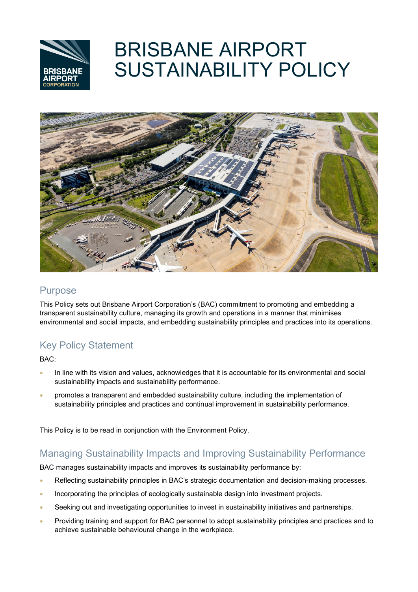

# BRISBANE AIRPORT SUSTAINABILITY POLICY



## Purpose

This Policy sets out Brisbane Airport Corporation's (BAC) commitment to promoting and embedding a transparent sustainability culture, managing its growth and operations in a manner that minimises environmental and social impacts, and embedding sustainability principles and practices into its operations.

# Key Policy Statement

BAC:

- In line with its vision and values, acknowledges that it is accountable for its environmental and social sustainability impacts and sustainability performance.
- promotes a transparent and embedded sustainability culture, including the implementation of sustainability principles and practices and continual improvement in sustainability performance.

This Policy is to be read in conjunction with the Environment Policy.

## Managing Sustainability Impacts and Improving Sustainability Performance

BAC manages sustainability impacts and improves its sustainability performance by:

- Reflecting sustainability principles in BAC's strategic documentation and decision-making processes.
- Incorporating the principles of ecologically sustainable design into investment projects.
- Seeking out and investigating opportunities to invest in sustainability initiatives and partnerships.
- Providing training and support for BAC personnel to adopt sustainability principles and practices and to achieve sustainable behavioural change in the workplace.